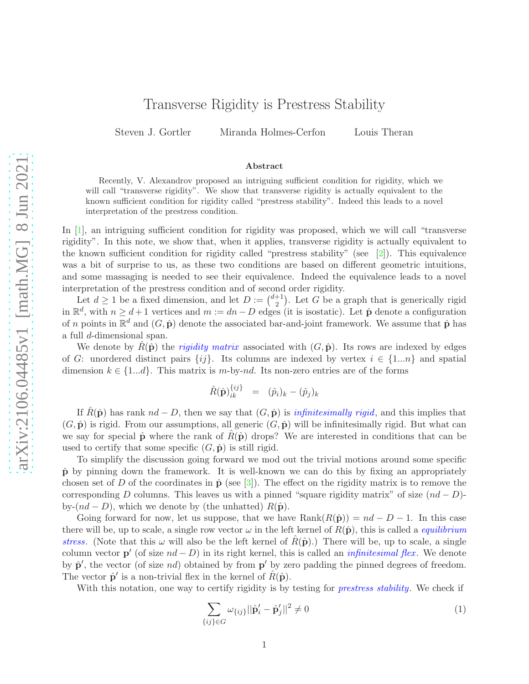## Transverse Rigidity is Prestress Stability

Steven J. Gortler Miranda Holmes-Cerfon Louis Theran

## Abstract

Recently, V. Alexandrov proposed an intriguing sufficient condition for rigidity, which we will call "transverse rigidity". We show that transverse rigidity is actually equivalent to the known sufficient condition for rigidity called "prestress stability". Indeed this leads to a novel interpretation of the prestress condition.

In [\[1\]](#page-3-0), an intriguing sufficient condition for rigidity was proposed, which we will call "transverse rigidity". In this note, we show that, when it applies, transverse rigidity is actually equivalent to the known sufficient condition for rigidity called "prestress stability" (see  $[2]$ ). This equivalence was a bit of surprise to us, as these two conditions are based on different geometric intuitions, and some massaging is needed to see their equivalence. Indeed the equivalence leads to a novel interpretation of the prestress condition and of second order rigidity.

Let  $d \geq 1$  be a fixed dimension, and let  $D := \binom{d+1}{2}$  $\binom{+1}{2}$ . Let G be a graph that is generically rigid in  $\mathbb{R}^d$ , with  $n \geq d+1$  vertices and  $m := dn - D$  edges (it is isostatic). Let  $\hat{\mathbf{p}}$  denote a configuration of n points in  $\mathbb{R}^d$  and  $(G, \hat{\mathbf{p}})$  denote the associated bar-and-joint framework. We assume that  $\hat{\mathbf{p}}$  has a full d-dimensional span.

We denote by  $\hat{R}(\hat{\mathbf{p}})$  the *rigidity matrix* associated with  $(G, \hat{\mathbf{p}})$ . Its rows are indexed by edges of G: unordered distinct pairs  $\{ij\}$ . Its columns are indexed by vertex  $i \in \{1...n\}$  and spatial dimension  $k \in \{1...d\}$ . This matrix is m-by-nd. Its non-zero entries are of the forms

$$
\hat{R}(\hat{\mathbf{p}})_{ik}^{\{ij\}} = (\hat{p}_i)_k - (\hat{p}_j)_k
$$

If  $\hat{R}(\hat{\mathbf{p}})$  has rank  $nd - D$ , then we say that  $(G, \hat{\mathbf{p}})$  is *infinitesimally rigid*, and this implies that  $(G, \hat{\mathbf{p}})$  is rigid. From our assumptions, all generic  $(G, \hat{\mathbf{p}})$  will be infinitesimally rigid. But what can we say for special  $\hat{\mathbf{p}}$  where the rank of  $R(\hat{\mathbf{p}})$  drops? We are interested in conditions that can be used to certify that some specific  $(G, \hat{\mathbf{p}})$  is still rigid.

To simplify the discussion going forward we mod out the trivial motions around some specific  $\hat{\mathbf{p}}$  by pinning down the framework. It is well-known we can do this by fixing an appropriately chosen set of D of the coordinates in  $\hat{\mathbf{p}}$  (see [\[3\]](#page-3-2)). The effect on the rigidity matrix is to remove the corresponding D columns. This leaves us with a pinned "square rigidity matrix" of size  $(nd - D)$ by- $(nd - D)$ , which we denote by (the unhatted)  $R(\hat{\mathbf{p}})$ .

Going forward for now, let us suppose, that we have  $\text{Rank}(R(\hat{\mathbf{p}})) = nd - D - 1$ . In this case there will be, up to scale, a single row vector  $\omega$  in the left kernel of  $R(\hat{\mathbf{p}})$ , this is called a *equilibrium* stress. (Note that this  $\omega$  will also be the left kernel of  $R(\hat{\mathbf{p}})$ .) There will be, up to scale, a single column vector  $p'$  (of size  $nd - D$ ) in its right kernel, this is called an *infinitesimal flex*. We denote by  $\hat{\mathbf{p}}'$ , the vector (of size nd) obtained by from  $\mathbf{p}'$  by zero padding the pinned degrees of freedom. The vector  $\hat{\mathbf{p}}'$  is a non-trivial flex in the kernel of  $\hat{R}(\hat{\mathbf{p}})$ .

With this notation, one way to certify rigidity is by testing for *prestress stability*. We check if

<span id="page-0-0"></span>
$$
\sum_{\{ij\}\in G} \omega_{\{ij\}} ||\hat{\mathbf{p}}'_i - \hat{\mathbf{p}}'_j||^2 \neq 0 \tag{1}
$$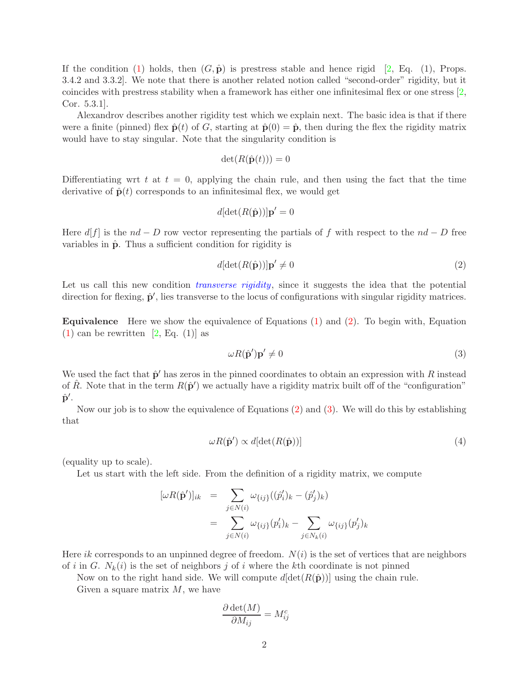If the condition [\(1\)](#page-0-0) holds, then  $(G, \hat{\mathbf{p}})$  is prestress stable and hence rigid [\[2](#page-3-1), Eq. (1), Props. 3.4.2 and 3.3.2]. We note that there is another related notion called "second-order" rigidity, but it coincides with prestress stability when a framework has either one infinitesimal flex or one stress [\[2](#page-3-1), Cor. 5.3.1].

Alexandrov describes another rigidity test which we explain next. The basic idea is that if there were a finite (pinned) flex  $\hat{\mathbf{p}}(t)$  of G, starting at  $\hat{\mathbf{p}}(0) = \hat{\mathbf{p}}$ , then during the flex the rigidity matrix would have to stay singular. Note that the singularity condition is

$$
\det(R(\hat{\mathbf{p}}(t))) = 0
$$

Differentiating wrt t at  $t = 0$ , applying the chain rule, and then using the fact that the time derivative of  $\hat{\mathbf{p}}(t)$  corresponds to an infinitesimal flex, we would get

$$
d[\det(R(\hat{\mathbf{p}}))] \mathbf{p}' = 0
$$

Here  $d[f]$  is the  $nd - D$  row vector representing the partials of f with respect to the  $nd - D$  free variables in  $\hat{p}$ . Thus a sufficient condition for rigidity is

<span id="page-1-0"></span>
$$
d[\det(R(\hat{\mathbf{p}}))] \mathbf{p}' \neq 0 \tag{2}
$$

Let us call this new condition *transverse rigidity*, since it suggests the idea that the potential direction for flexing,  $\hat{\mathbf{p}}'$ , lies transverse to the locus of configurations with singular rigidity matrices.

Equivalence Here we show the equivalence of Equations [\(1\)](#page-0-0) and [\(2\)](#page-1-0). To begin with, Equation  $(1)$  can be rewritten [\[2,](#page-3-1) Eq.  $(1)$ ] as

<span id="page-1-1"></span>
$$
\omega R(\hat{\mathbf{p}}')\mathbf{p}' \neq 0 \tag{3}
$$

We used the fact that  $\hat{\mathbf{p}}'$  has zeros in the pinned coordinates to obtain an expression with R instead of  $\hat{R}$ . Note that in the term  $R(\hat{\mathbf{p}}')$  we actually have a rigidity matrix built off of the "configuration"  $\hat{\textbf{p}}^{\prime}$ .

Now our job is to show the equivalence of Equations [\(2\)](#page-1-0) and [\(3\)](#page-1-1). We will do this by establishing that

$$
\omega R(\hat{\mathbf{p}}') \propto d[\det(R(\hat{\mathbf{p}}))]
$$
\n(4)

(equality up to scale).

Let us start with the left side. From the definition of a rigidity matrix, we compute

$$
\begin{array}{rcl} [\omega R(\hat{\mathbf{p}}')]_{ik} & = & \sum_{j \in N(i)} \omega_{\{ij\}}((\hat{p}'_i)_k - (\hat{p}'_j)_k) \\ & = & \sum_{j \in N(i)} \omega_{\{ij\}}(p'_i)_k - \sum_{j \in N_k(i)} \omega_{\{ij\}}(p'_j)_k \end{array}
$$

Here ik corresponds to an unpinned degree of freedom.  $N(i)$  is the set of vertices that are neighbors of i in G.  $N_k(i)$  is the set of neighbors j of i where the kth coordinate is not pinned

Now on to the right hand side. We will compute  $d[\det(R(\hat{\bf{p}}))]$  using the chain rule.

Given a square matrix  $M$ , we have

$$
\frac{\partial \det(M)}{\partial M_{ij}} = M_{ij}^c
$$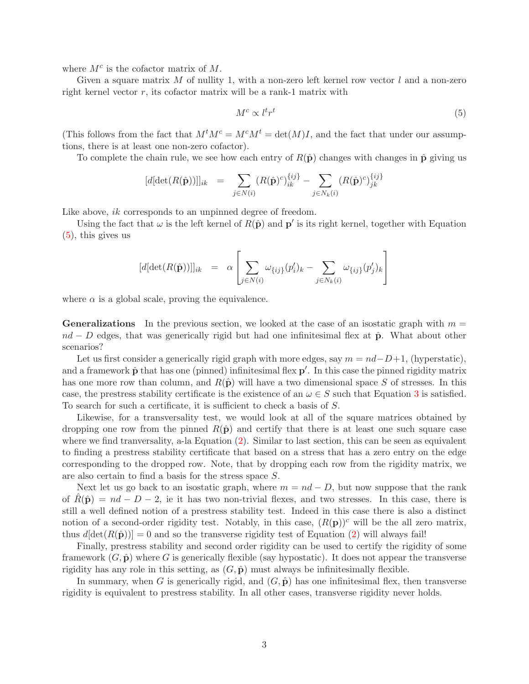where  $M^c$  is the cofactor matrix of  $M$ .

Given a square matrix  $M$  of nullity 1, with a non-zero left kernel row vector  $l$  and a non-zero right kernel vector  $r$ , its cofactor matrix will be a rank-1 matrix with

<span id="page-2-0"></span>
$$
M^c \propto l^t r^t \tag{5}
$$

(This follows from the fact that  $M^tM^c = M^cM^t = det(M)I$ , and the fact that under our assumptions, there is at least one non-zero cofactor).

To complete the chain rule, we see how each entry of  $R(\hat{\mathbf{p}})$  changes with changes in  $\hat{\mathbf{p}}$  giving us

$$
[d[\det(R(\hat{\mathbf{p}}))]]_{ik} = \sum_{j \in N(i)} (R(\hat{\mathbf{p}})^c)_{ik}^{\{ij\}} - \sum_{j \in N_k(i)} (R(\hat{\mathbf{p}})^c)_{jk}^{\{ij\}}
$$

Like above, *ik* corresponds to an unpinned degree of freedom.

Using the fact that  $\omega$  is the left kernel of  $R(\hat{\mathbf{p}})$  and  $\mathbf{p}'$  is its right kernel, together with Equation  $(5)$ , this gives us

$$
[d[\det(R(\hat{\mathbf{p}}))]]_{ik} = \alpha \left[ \sum_{j \in N(i)} \omega_{\{ij\}}(p'_i)_k - \sum_{j \in N_k(i)} \omega_{\{ij\}}(p'_j)_k \right]
$$

where  $\alpha$  is a global scale, proving the equivalence.

**Generalizations** In the previous section, we looked at the case of an isostatic graph with  $m =$  $nd - D$  edges, that was generically rigid but had one infinitesimal flex at  $\hat{p}$ . What about other scenarios?

Let us first consider a generically rigid graph with more edges, say  $m = nd-D+1$ , (hyperstatic), and a framework  $\hat{\mathbf{p}}$  that has one (pinned) infinitesimal flex  $\mathbf{p}'$ . In this case the pinned rigidity matrix has one more row than column, and  $R(\hat{\mathbf{p}})$  will have a two dimensional space S of stresses. In this case, the prestress stability certificate is the existence of an  $\omega \in S$  such that Equation [3](#page-1-1) is satisfied. To search for such a certificate, it is sufficient to check a basis of S.

Likewise, for a transversality test, we would look at all of the square matrices obtained by dropping one row from the pinned  $R(\hat{\mathbf{p}})$  and certify that there is at least one such square case where we find tranversality, a-la Equation [\(2\)](#page-1-0). Similar to last section, this can be seen as equivalent to finding a prestress stability certificate that based on a stress that has a zero entry on the edge corresponding to the dropped row. Note, that by dropping each row from the rigidity matrix, we are also certain to find a basis for the stress space S.

Next let us go back to an isostatic graph, where  $m = nd - D$ , but now suppose that the rank of  $R(\hat{\mathbf{p}}) = nd - D - 2$ , ie it has two non-trivial flexes, and two stresses. In this case, there is still a well defined notion of a prestress stability test. Indeed in this case there is also a distinct notion of a second-order rigidity test. Notably, in this case,  $(R(\mathbf{p}))^c$  will be the all zero matrix, thus  $d[\det(R(\hat{\mathbf{p}}))] = 0$  and so the transverse rigidity test of Equation [\(2\)](#page-1-0) will always fail!

Finally, prestress stability and second order rigidity can be used to certify the rigidity of some framework  $(G, \hat{\mathbf{p}})$  where G is generically flexible (say hypostatic). It does not appear the transverse rigidity has any role in this setting, as  $(G, \hat{\mathbf{p}})$  must always be infinitesimally flexible.

In summary, when G is generically rigid, and  $(G, \hat{\mathbf{p}})$  has one infinitesimal flex, then transverse rigidity is equivalent to prestress stability. In all other cases, transverse rigidity never holds.